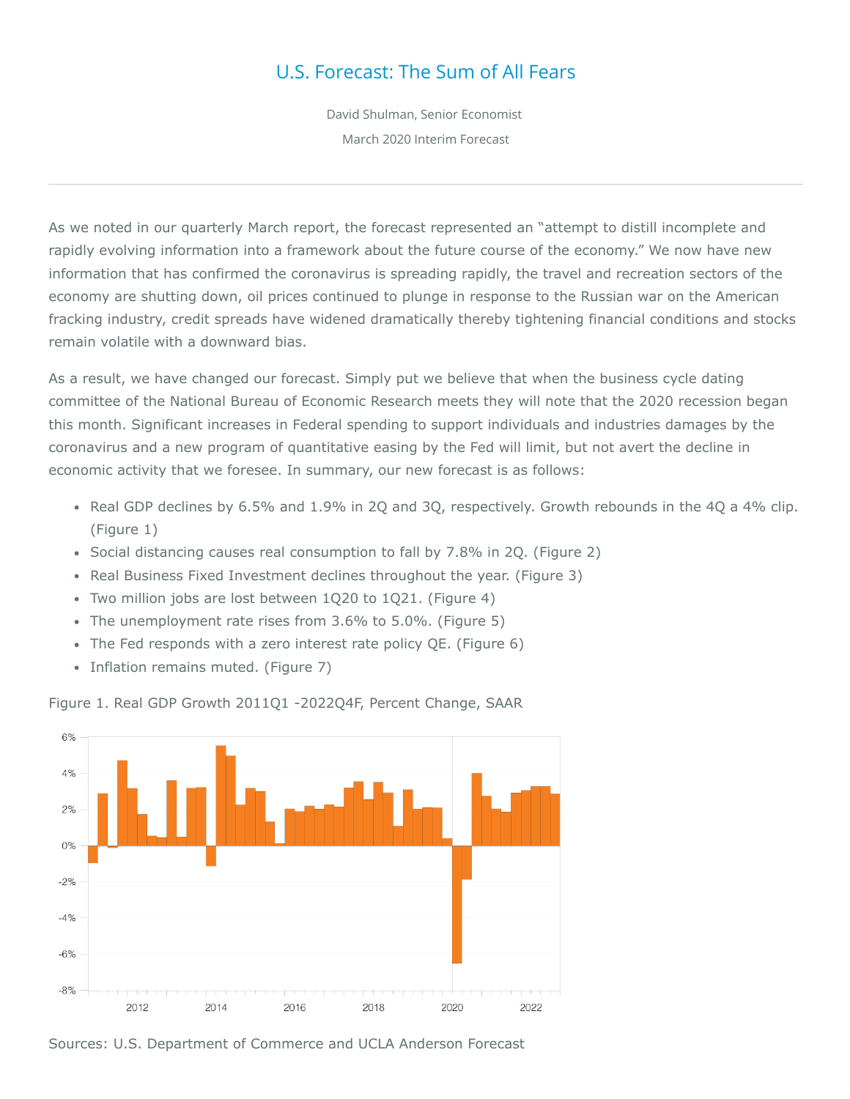## U.S. Forecast: The Sum of All Fears

David Shulman, Senior Economist March 2020 Interim Forecast

As we noted in our quarterly March report, the forecast represented an "attempt to distill incomplete and rapidly evolving information into a framework about the future course of the economy." We now have new information that has confirmed the coronavirus is spreading rapidly, the travel and recreation sectors of the economy are shutting down, oil prices continued to plunge in response to the Russian war on the American fracking industry, credit spreads have widened dramatically thereby tightening financial conditions and stocks remain volatile with a downward bias.

As a result, we have changed our forecast. Simply put we believe that when the business cycle dating committee of the National Bureau of Economic Research meets they will note that the 2020 recession began this month. Significant increases in Federal spending to support individuals and industries damages by the coronavirus and a new program of quantitative easing by the Fed will limit, but not avert the decline in economic activity that we foresee. In summary, our new forecast is as follows:

- Real GDP declines by 6.5% and 1.9% in 2Q and 3Q, respectively. Growth rebounds in the 4Q a 4% clip. (Figure 1)
- Social distancing causes real consumption to fall by 7.8% in 2Q. (Figure 2)
- Real Business Fixed Investment declines throughout the year. (Figure 3)
- Two million jobs are lost between 1Q20 to 1Q21. (Figure 4)
- The unemployment rate rises from 3.6% to 5.0%. (Figure 5)
- The Fed responds with a zero interest rate policy QE. (Figure 6)
- Inflation remains muted. (Figure 7)

Figure 1. Real GDP Growth 2011Q1 -2022Q4F, Percent Change, SAAR



Sources: U.S. Department of Commerce and UCLA Anderson Forecast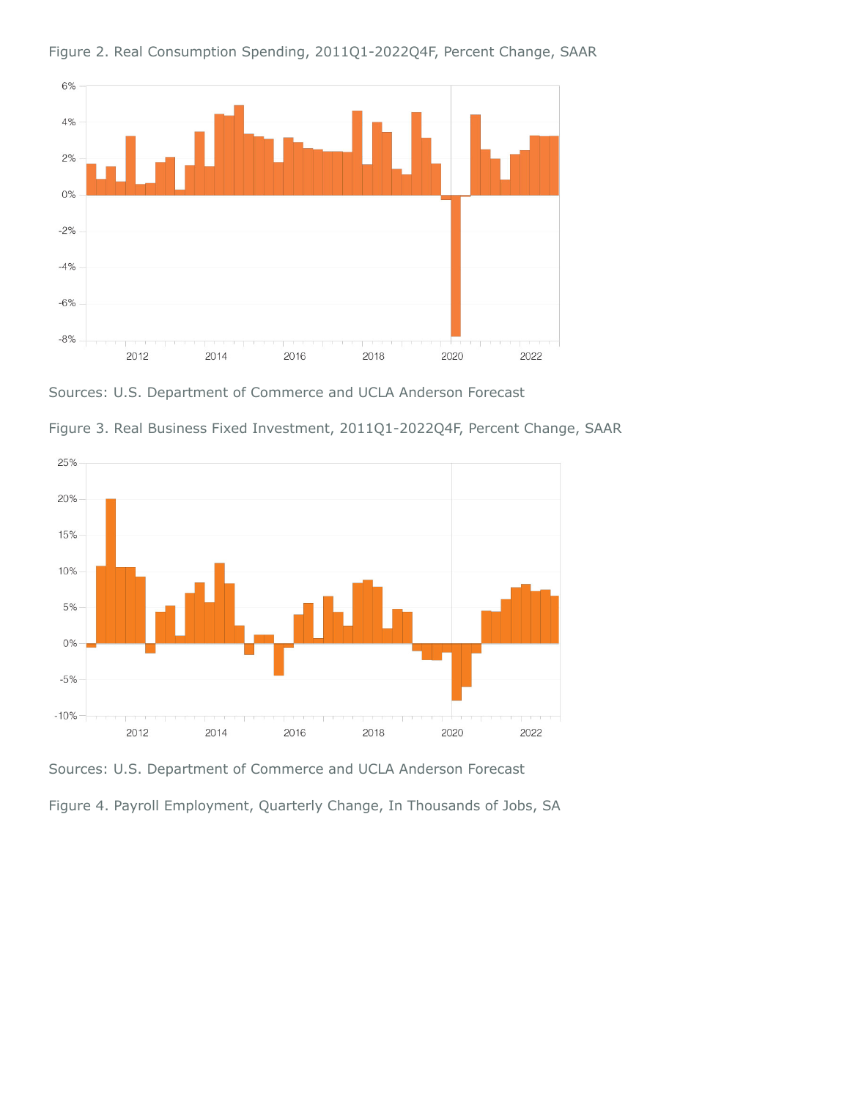

Figure 2. Real Consumption Spending, 2011Q1-2022Q4F, Percent Change, SAAR

Sources: U.S. Department of Commerce and UCLA Anderson Forecast



Figure 3. Real Business Fixed Investment, 2011Q1-2022Q4F, Percent Change, SAAR

Sources: U.S. Department of Commerce and UCLA Anderson Forecast

Figure 4. Payroll Employment, Quarterly Change, In Thousands of Jobs, SA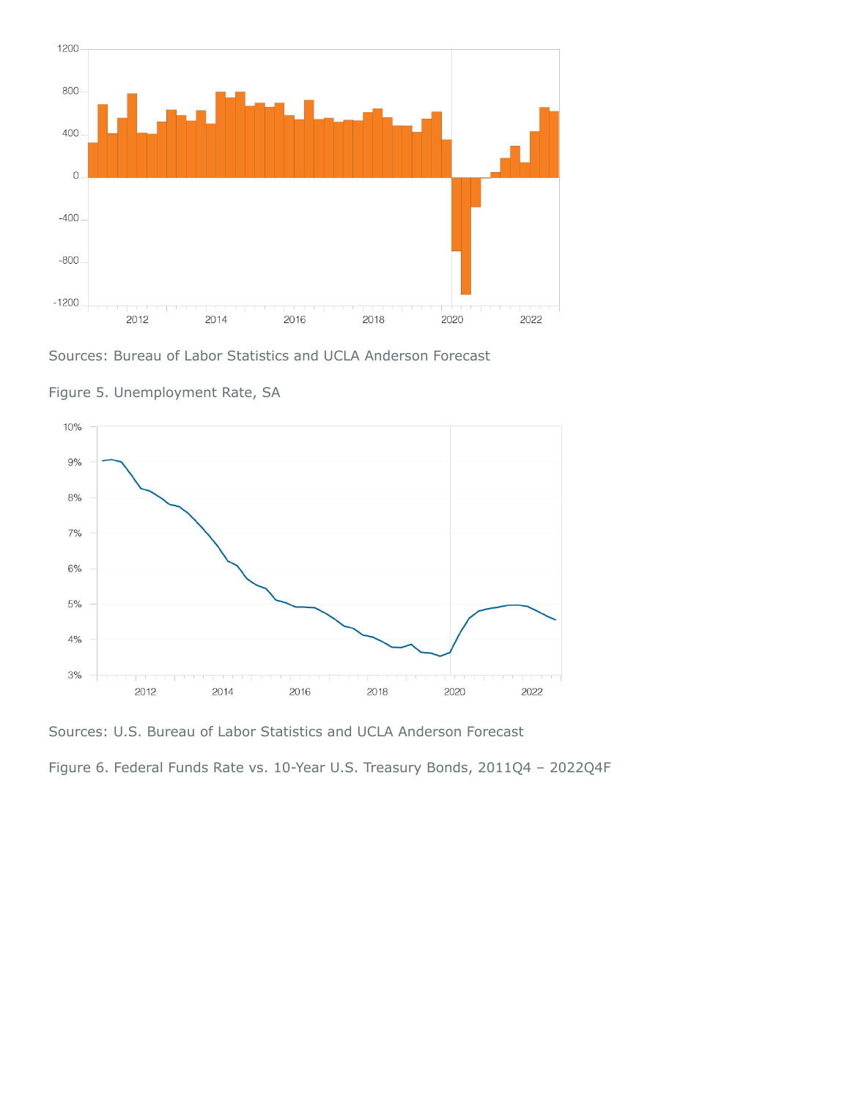

Sources: Bureau of Labor Statistics and UCLA Anderson Forecast



Figure 5. Unemployment Rate, SA

Sources: U.S. Bureau of Labor Statistics and UCLA Anderson Forecast

Figure 6. Federal Funds Rate vs. 10-Year U.S. Treasury Bonds, 2011Q4 – 2022Q4F